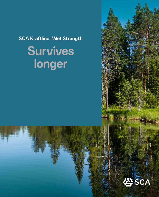**SCA Kraftliner Wet Strength**

# **Survives longer**

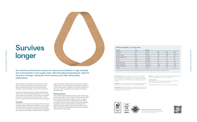SCA Kraftliner Wet Strength is produced with a base layer of mainly fresh fibre and a surface layer of the finest unbleached fresh fibre that provide excellent strength, long-life durability and maximum protection.

The unique properties of SCA Kraftliner Wet Strength enable us to offer outstanding performance even in the most extreme environments. This makes it an excellent choice when transporting hazardous goods or when you're in need of some extra protection for your product.

## **Control**

Our strict control programme ensures that the moisture, strength, and glue absorption properties remain uniform and well defined. A high-tech process control enables our product to handle the most demanding corrugating and conversion processes. A rejection limit on peak-to-



## **Survives longer**

peak CD variation classifies all moisture and dry streaks within the reel. This is essential for excellent runnability on modern high-speed corrugators and for the production of flat board. It also guarantees fewer defects and failures, and less waste.

### **Performance**

SCT MD/CD: The compression strength is vital for the edge crush strength (ECT) of the board, which in turn is significant for the box compression strength (BCT).

SCA Kraftliner Wet Strength provides a high-performance surface with uniform colour. At 90% relative humidity (RH), both tensile and bursting strengths are twice as high as for a standard grade liner. Combined with its excellent runnability and convertibility, SCA Kraftliner Wet Strength is made to meet the most demanding challenges and fulfils the legal demands for direct contact with dry, nonfatty food as well as foodstuffs that are shelled, peeled or washed before consumption.

Our extreme performance product for maximum protection in high humidity and environments in the supply chain with fluctuating temperatures. Ideal for long-term storage, chemicals, fresh produce and other demanding applications.

> **WWF's Environmental Paper Company Index** SCA Containerboard has increased its scores overall from 75,3% in 2013 to 76,6% in 2019.



SCA KRAFTLINER WET STRENGTH

SCA KRAFTLINER WET STRENGTH

SCA KRAFTLINER WET STRENGTH

SCA KRAFTLINER WET STRENGTH

Bursting strength: High bursting strength is important for the containability of the corrugated box and the box performance in varying climate conditions, such as cold storage or freezer applications. It is also evidence of high fresh fibre content, which improves convertibility by reducing cracking and dusting when die cutting.

Tensile stiffness: Tensile stiffness of the liner in combination with the thickness of the corrugated board determines the bending stiffness of the corrugated board, which is key to resisting bulging of boxes and trays.



Moisture: Even moisture profile is essential for excellent runnability on modern high-speed corrugators and for the production of flat board.

### Testing conditions

All our values are based on testing at standard climate, 50% RH and 23°C. We participate in the Greenhouse Comparative Testing.

Latest updated version can be found on www.sca.com/containerboard

### **TYPICAL VALUES\* (as of October 2021)**

| Property                 | Unit             | Method          |      |      |      |
|--------------------------|------------------|-----------------|------|------|------|
| Grammage                 | q/m <sup>2</sup> | <b>ISO 536</b>  | 250  | 420  | 440  |
| <b>Thickness</b>         | µm               | <b>ISO 534</b>  | 320  | 530  | 555  |
| <b>Bursting strength</b> | kPa              | <b>ISO 2758</b> | 1010 | 1620 | 1740 |
| Bursting strength wet    | kPa              | <b>ISO 3689</b> | 330  | 570  | 600  |
| <b>SCT CD</b>            | kN/m             | <b>ISO 9895</b> | 5.0  | 7.9  | 8.4  |
| <b>SCT MD</b>            | kN/m             | <b>ISO 9895</b> | 7.6  | 12.5 | 13.1 |
| Tensile stiffness CD     | kN/m             | ISO 1924-3      | 880  | 1340 | 1400 |
| Tensile stiffness MD     | kN/m             | ISO 1924-3      | 1990 | 2970 | 3100 |
| Roughness, Bendtsen      | ml/min           | ISO 8791-2      | 1000 | 1500 | 1500 |
| Cobb <sub>60</sub>       | q/m <sup>2</sup> | <b>ISO 535</b>  | 25   | 25   | 25   |
|                          |                  |                 |      |      |      |

\* Typical value is our long-term average, typically the last annual average based on all measures on customer reels.